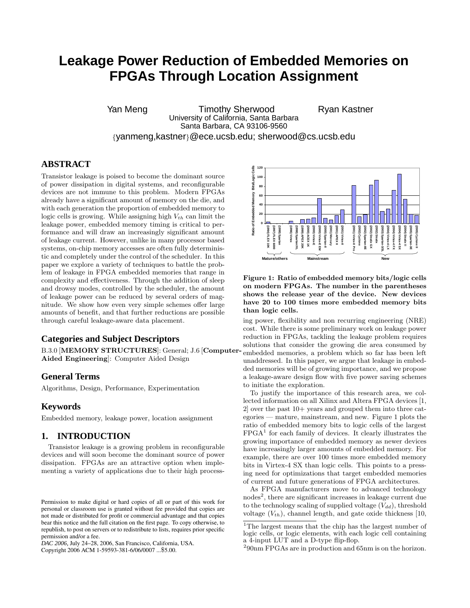# **Leakage Power Reduction of Embedded Memories on FPGAs Through Location Assignment**

Yan Meng Timothy Sherwood Ryan Kastner University of California, Santa Barbara Santa Barbara, CA 93106-9560

{yanmeng,kastner}@ece.ucsb.edu; sherwood@cs.ucsb.edu

# **ABSTRACT**

Transistor leakage is poised to become the dominant source of power dissipation in digital systems, and reconfigurable devices are not immune to this problem. Modern FPGAs already have a significant amount of memory on the die, and with each generation the proportion of embedded memory to logic cells is growing. While assigning high  $V_{th}$  can limit the leakage power, embedded memory timing is critical to performance and will draw an increasingly significant amount of leakage current. However, unlike in many processor based systems, on-chip memory accesses are often fully deterministic and completely under the control of the scheduler. In this paper we explore a variety of techniques to battle the problem of leakage in FPGA embedded memories that range in complexity and effectiveness. Through the addition of sleep and drowsy modes, controlled by the scheduler, the amount of leakage power can be reduced by several orders of magnitude. We show how even very simple schemes offer large amounts of benefit, and that further reductions are possible through careful leakage-aware data placement.

# **Categories and Subject Descriptors**

B.3.0 [MEMORY STRUCTURES]: General; J.6 [Computer-Aided Engineering]: Computer Aided Design

# **General Terms**

Algorithms, Design, Performance, Experimentation

# **Keywords**

Embedded memory, leakage power, location assignment

# **1. INTRODUCTION**

Transistor leakage is a growing problem in reconfigurable devices and will soon become the dominant source of power dissipation. FPGAs are an attractive option when implementing a variety of applications due to their high process-

*DAC 2006,* July 24–28, 2006, San Francisco, California, USA.

Copyright 2006 ACM 1-59593-381-6/06/0007 ...\$5.00.



Figure 1: Ratio of embedded memory bits/logic cells on modern FPGAs. The number in the parentheses shows the release year of the device. New devices have 20 to 100 times more embedded memory bits than logic cells.

ing power, flexibility and non recurring engineering (NRE) cost. While there is some preliminary work on leakage power reduction in FPGAs, tackling the leakage problem requires solutions that consider the growing die area consumed by embedded memories, a problem which so far has been left unaddressed. In this paper, we argue that leakage in embedded memories will be of growing importance, and we propose a leakage-aware design flow with five power saving schemes to initiate the exploration.

To justify the importance of this research area, we collected information on all Xilinx and Altera FPGA devices [1, 2] over the past 10+ years and grouped them into three categories — mature, mainstream, and new. Figure 1 plots the ratio of embedded memory bits to logic cells of the largest  $FPGA<sup>1</sup>$  for each family of devices. It clearly illustrates the growing importance of embedded memory as newer devices have increasingly larger amounts of embedded memory. For example, there are over 100 times more embedded memory bits in Virtex-4 SX than logic cells. This points to a pressing need for optimizations that target embedded memories of current and future generations of FPGA architectures.

As FPGA manufacturers move to advanced technology nodes<sup>2</sup>, there are significant increases in leakage current due to the technology scaling of supplied voltage  $(V_{dd})$ , threshold voltage  $(V_{th})$ , channel length, and gate oxide thickness [10,

Permission to make digital or hard copies of all or part of this work for personal or classroom use is granted without fee provided that copies are not made or distributed for profit or commercial advantage and that copies bear this notice and the full citation on the first page. To copy otherwise, to republish, to post on servers or to redistribute to lists, requires prior specific permission and/or a fee.

<sup>1</sup>The largest means that the chip has the largest number of logic cells, or logic elements, with each logic cell containing a 4-input LUT and a D-type flip-flop.

<sup>2</sup> 90nm FPGAs are in production and 65nm is on the horizon.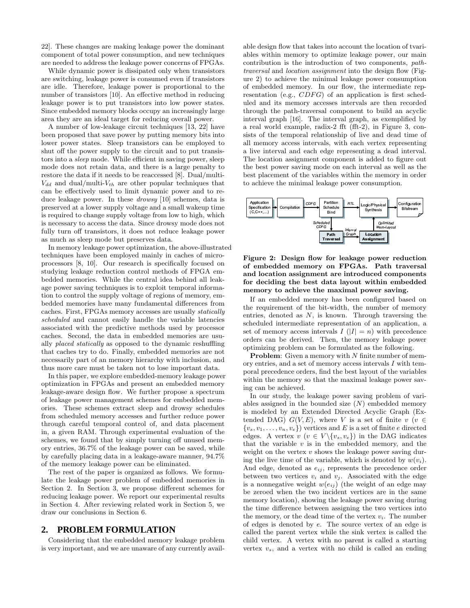22]. These changes are making leakage power the dominant component of total power consumption, and new techniques are needed to address the leakage power concerns of FPGAs.

While dynamic power is dissipated only when transistors are switching, leakage power is consumed even if transistors are idle. Therefore, leakage power is proportional to the number of transistors [10]. An effective method in reducing leakage power is to put transistors into low power states. Since embedded memory blocks occupy an increasingly large area they are an ideal target for reducing overall power.

A number of low-leakage circuit techniques [13, 22] have been proposed that save power by putting memory bits into lower power states. Sleep transistors can be employed to shut off the power supply to the circuit and to put transistors into a sleep mode. While efficient in saving power, sleep mode does not retain data, and there is a large penalty to restore the data if it needs to be reaccessed [8]. Dual/multi- $V_{dd}$  and dual/multi- $V_{th}$  are other popular techniques that can be effectively used to limit dynamic power and to reduce leakage power. In these drowsy [10] schemes, data is preserved at a lower supply voltage and a small wakeup time is required to change supply voltage from low to high, which is necessary to access the data. Since drowsy mode does not fully turn off transistors, it does not reduce leakage power as much as sleep mode but preserves data.

In memory leakage power optimization, the above-illustrated techniques have been employed mainly in caches of microprocessors [8, 10]. Our research is specifically focused on studying leakage reduction control methods of FPGA embedded memories. While the central idea behind all leakage power saving techniques is to exploit temporal information to control the supply voltage of regions of memory, embedded memories have many fundamental differences from caches. First, FPGAs memory accesses are usually statically scheduled and cannot easily handle the variable latencies associated with the predictive methods used by processor caches. Second, the data in embedded memories are usually placed statically as opposed to the dynamic reshuffling that caches try to do. Finally, embedded memories are not necessarily part of an memory hierarchy with inclusion, and thus more care must be taken not to lose important data.

In this paper, we explore embedded-memory leakage power optimization in FPGAs and present an embedded memory leakage-aware design flow. We further propose a spectrum of leakage power management schemes for embedded memories. These schemes extract sleep and drowsy schedules from scheduled memory accesses and further reduce power through careful temporal control of, and data placement in, a given RAM. Through experimental evaluation of the schemes, we found that by simply turning off unused memory entries, 36.7% of the leakage power can be saved, while by carefully placing data in a leakage-aware manner, 94.7% of the memory leakage power can be eliminated.

The rest of the paper is organized as follows. We formulate the leakage power problem of embedded memories in Section 2. In Section 3, we propose different schemes for reducing leakage power. We report our experimental results in Section 4. After reviewing related work in Section 5, we draw our conclusions in Section 6.

# **2. PROBLEM FORMULATION**

Considering that the embedded memory leakage problem is very important, and we are unaware of any currently available design flow that takes into account the location of tvariables within memory to optimize leakage power, our main contribution is the introduction of two components, pathtraversal and location assignment into the design flow (Figure 2) to achieve the minimal leakage power consumption of embedded memory. In our flow, the intermediate representation (e.g.,  $CDFG$ ) of an application is first scheduled and its memory accesses intervals are then recorded through the path-traversal component to build an acyclic interval graph [16]. The interval graph, as exemplified by a real world example, radix-2 fft (fft-2), in Figure 3, consists of the temporal relationship of live and dead time of all memory access intervals, with each vertex representing a live interval and each edge representing a dead interval. The location assignment component is added to figure out the best power saving mode on each interval as well as the best placement of the variables within the memory in order to achieve the minimal leakage power consumption.





If an embedded memory has been configured based on the requirement of the bit-width, the number of memory entries, denoted as  $N$ , is known. Through traversing the scheduled intermediate representation of an application, a set of memory access intervals  $I(|I|=n)$  with precedence orders can be derived. Then, the memory leakage power optimizing problem can be formulated as the following.

**Problem:** Given a memory with  $N$  finite number of memory entries, and a set of memory access intervals I with temporal precedence orders, find the best layout of the variables within the memory so that the maximal leakage power saving can be achieved.

In our study, the leakage power saving problem of variables assigned in the bounded size  $(N)$  embedded memory is modeled by an Extended Directed Acyclic Graph (Extended DAG)  $G(V, E)$ , where V is a set of finite  $v$  ( $v \in$  $\{v_s, v_1, \ldots, v_n, v_e\}$  vertices and E is a set of finite e directed edges. A vertex  $v$   $(v \in V \setminus \{v_s, v_e\})$  in the DAG indicates that the variable  $v$  is in the embedded memory, and the weight on the vertex  $v$  shows the leakage power saving during the live time of the variable, which is denoted by  $w(v_i)$ . And edge, denoted as  $e_{ij}$ , represents the precedence order between two vertices  $v_i$  and  $v_j$ . Associated with the edge is a nonnegative weight  $w(e_{ij})$  (the weight of an edge may be zeroed when the two incident vertices are in the same memory location), showing the leakage power saving during the time difference between assigning the two vertices into the memory, or the dead time of the vertex  $v_i$ . The number of edges is denoted by e. The source vertex of an edge is called the parent vertex while the sink vertex is called the child vertex. A vertex with no parent is called a starting vertex  $v_s$ , and a vertex with no child is called an ending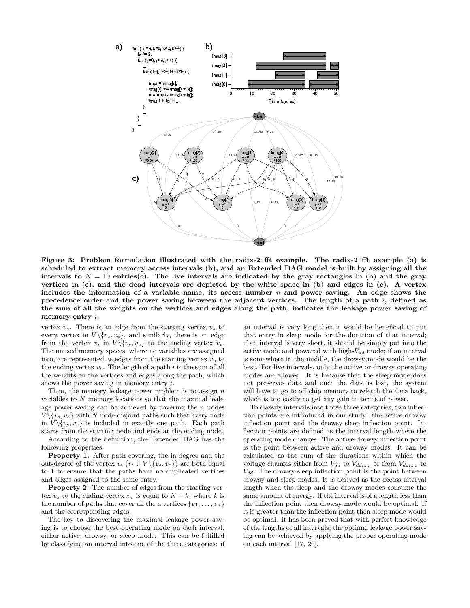

Figure 3: Problem formulation illustrated with the radix-2 fft example. The radix-2 fft example (a) is scheduled to extract memory access intervals (b), and an Extended DAG model is built by assigning all the intervals to  $N = 10$  entries(c). The live intervals are indicated by the gray rectangles in (b) and the gray vertices in (c), and the dead intervals are depicted by the white space in (b) and edges in (c). A vertex includes the information of a variable name, its access number  $n$  and power saving. An edge shows the precedence order and the power saving between the adjacent vertices. The length of a path i, defined as the sum of all the weights on the vertices and edges along the path, indicates the leakage power saving of memory entry i.

vertex  $v_e$ . There is an edge from the starting vertex  $v_s$  to every vertex in  $V \setminus \{v_s, v_e\}$ , and similarly, there is an edge from the vertex  $v_i$  in  $V \setminus \{v_s, v_e\}$  to the ending vertex  $v_e$ . The unused memory spaces, where no variables are assigned into, are represented as edges from the starting vertex  $v<sub>s</sub>$  to the ending vertex  $v_e$ . The length of a path i is the sum of all the weights on the vertices and edges along the path, which shows the power saving in memory entry i.

Then, the memory leakage power problem is to assign  $n$ variables to N memory locations so that the maximal leakage power saving can be achieved by covering the  $n$  nodes  $V \setminus \{v_s, v_e\}$  with N node-disjoint paths such that every node in  $V \setminus \{v_s, v_e\}$  is included in exactly one path. Each path starts from the starting node and ends at the ending node.

According to the definition, the Extended DAG has the following properties:

Property 1. After path covering, the in-degree and the out-degree of the vertex  $v_i$   $(v_i \in V \setminus \{v_s, v_e\})$  are both equal to 1 to ensure that the paths have no duplicated vertices and edges assigned to the same entry.

Property 2. The number of edges from the starting vertex  $v_s$  to the ending vertex  $v_e$  is equal to  $N - k$ , where k is the number of paths that cover all the n vertices  $\{v_1, \ldots, v_n\}$ and the corresponding edges.

The key to discovering the maximal leakage power saving is to choose the best operating mode on each interval, either active, drowsy, or sleep mode. This can be fulfilled by classifying an interval into one of the three categories: if an interval is very long then it would be beneficial to put that entry in sleep mode for the duration of that interval; if an interval is very short, it should be simply put into the active mode and powered with high- $V_{dd}$  mode; if an interval is somewhere in the middle, the drowsy mode would be the best. For live intervals, only the active or drowsy operating modes are allowed. It is because that the sleep mode does not preserves data and once the data is lost, the system will have to go to off-chip memory to refetch the data back, which is too costly to get any gain in terms of power.

To classify intervals into those three categories, two inflection points are introduced in our study: the active-drowsy inflection point and the drowsy-sleep inflection point. Inflection points are defined as the interval length where the operating mode changes. The active-drowsy inflection point is the point between active and drowsy modes. It can be calculated as the sum of the durations within which the voltage changes either from  $V_{dd}$  to  $V_{dd}$  or from  $V_{dd}$  to  $V_{dd}$ . The drowsy-sleep inflection point is the point between drowsy and sleep modes. It is derived as the access interval length when the sleep and the drowsy modes consume the same amount of energy. If the interval is of a length less than the inflection point then drowsy mode would be optimal. If it is greater than the inflection point then sleep mode would be optimal. It has been proved that with perfect knowledge of the lengths of all intervals, the optimal leakage power saving can be achieved by applying the proper operating mode on each interval [17, 20].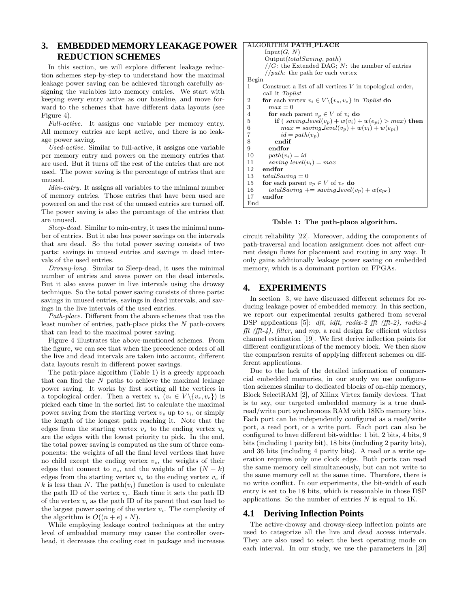# **3. EMBEDDEDMEMORY LEAKAGEPOWER REDUCTION SCHEMES**

In this section, we will explore different leakage reduction schemes step-by-step to understand how the maximal leakage power saving can be achieved through carefully assigning the variables into memory entries. We start with keeping every entry active as our baseline, and move forward to the schemes that have different data layouts (see Figure 4).

Full-active. It assigns one variable per memory entry. All memory entries are kept active, and there is no leakage power saving.

Used-active. Similar to full-active, it assigns one variable per memory entry and powers on the memory entries that are used. But it turns off the rest of the entries that are not used. The power saving is the percentage of entries that are unused.

Min-entry. It assigns all variables to the minimal number of memory entries. Those entries that have been used are powered on and the rest of the unused entries are turned off. The power saving is also the percentage of the entries that are unused.

Sleep-dead. Similar to min-entry, it uses the minimal number of entries. But it also has power savings on the intervals that are dead. So the total power saving consists of two parts: savings in unused entries and savings in dead intervals of the used entries.

Drowsy-long. Similar to Sleep-dead, it uses the minimal number of entries and saves power on the dead intervals. But it also saves power in live intervals using the drowsy technique. So the total power saving consists of three parts: savings in unused entries, savings in dead intervals, and savings in the live intervals of the used entries.

Path-place. Different from the above schemes that use the least number of entries, path-place picks the N path-covers that can lead to the maximal power saving.

Figure 4 illustrates the above-mentioned schemes. From the figure, we can see that when the precedence orders of all the live and dead intervals are taken into account, different data layouts result in different power savings.

The path-place algorithm (Table 1) is a greedy approach that can find the  $N$  paths to achieve the maximal leakage power saving. It works by first sorting all the vertices in a topological order. Then a vertex  $v_i$   $(v_i \in V \setminus \{v_s, v_e\})$  is picked each time in the sorted list to calculate the maximal power saving from the starting vertex  $v_s$  up to  $v_i$ , or simply the length of the longest path reaching it. Note that the edges from the starting vertex  $v<sub>s</sub>$  to the ending vertex  $v<sub>e</sub>$ are the edges with the lowest priority to pick. In the end, the total power saving is computed as the sum of three components: the weights of all the final level vertices that have no child except the ending vertex  $v_e$ , the weights of their edges that connect to  $v_e$ , and the weights of the  $(N - k)$ edges from the starting vertex  $v_s$  to the ending vertex  $v_e$  if k is less than N. The path $(v_i)$  function is used to calculate the path ID of the vertex  $v_i$ . Each time it sets the path ID of the vertex  $v_i$  as the path ID of its parent that can lead to the largest power saving of the vertex  $v_i$ . The complexity of the algorithm is  $O((n+e) * N)$ .

While employing leakage control techniques at the entry level of embedded memory may cause the controller overhead, it decreases the cooling cost in package and increases

#### ALGORITHM PATH PLACE

```
Input(G, N)Output(totalSaving, path)
        //G: the Extended DAG; N: the number of entries
        // path: the path for each vertex
Begin
1 Construct a list of all vertices V in topological order,
       call it Toplist
2 for each vertex v_i \in V \setminus \{v_s, v_e\} in Toplist do max = 0max = 04 for each parent v_p \in V of v_i do<br>5 if (squing level(v_n) + w(v_i)) +
5 if (\sigma p) + w(v_i) + w(e_{pi}) > max then<br>6 max = saving\_level(v_p) + w(v_i) + w(e_{pi})6 max = savingLevel(v_p) + w(v_i) + w(e_{pi})<br>
7 id = math(v_n)7 \text{ } id = path(v_p)<br>8 endif
8 \t\tend{array} endif
9 endfor<br>10 path(v_i)10 path(v_i) = id<br>11 saving\_level(i)saving\_level(v_i) = max12 endfor
13 totalSaving = 015 for each parent v_p \in V of v_e do<br>16 totalSaving += saving level(c)
16 totalSaving += saving level(v_p) + w(e_{pe})<br>17 endfor
       endfor
End
```
#### Table 1: The path-place algorithm.

circuit reliability [22]. Moreover, adding the components of path-traversal and location assignment does not affect current design flows for placement and routing in any way. It only gains additionally leakage power saving on embedded memory, which is a dominant portion on FPGAs.

# **4. EXPERIMENTS**

In section 3, we have discussed different schemes for reducing leakage power of embedded memory. In this section, we report our experimental results gathered from several DSP applications [5]:  $dft$ ,  $idft$ ,  $radix-2$  fft (fft-2),  $radix-4$ fft (fft-4), filter, and mp, a real design for efficient wireless channel estimation [19]. We first derive inflection points for different configurations of the memory block. We then show the comparison results of applying different schemes on different applications.

Due to the lack of the detailed information of commercial embedded memories, in our study we use configuration schemes similar to dedicated blocks of on-chip memory, Block SelectRAM [2], of Xilinx Virtex family devices. That is to say, our targeted embedded memory is a true dualread/write port synchronous RAM with 18Kb memory bits. Each port can be independently configured as a read/write port, a read port, or a write port. Each port can also be configured to have different bit-widths: 1 bit, 2 bits, 4 bits, 9 bits (including 1 parity bit), 18 bits (including 2 parity bits), and 36 bits (including 4 parity bits). A read or a write operation requires only one clock edge. Both ports can read the same memory cell simultaneously, but can not write to the same memory cell at the same time. Therefore, there is no write conflict. In our experiments, the bit-width of each entry is set to be 18 bits, which is reasonable in those DSP applications. So the number of entries  $N$  is equal to 1K.

# **4.1 Deriving Inflection Points**

The active-drowsy and drowsy-sleep inflection points are used to categorize all the live and dead access intervals. They are also used to select the best operating mode on each interval. In our study, we use the parameters in [20]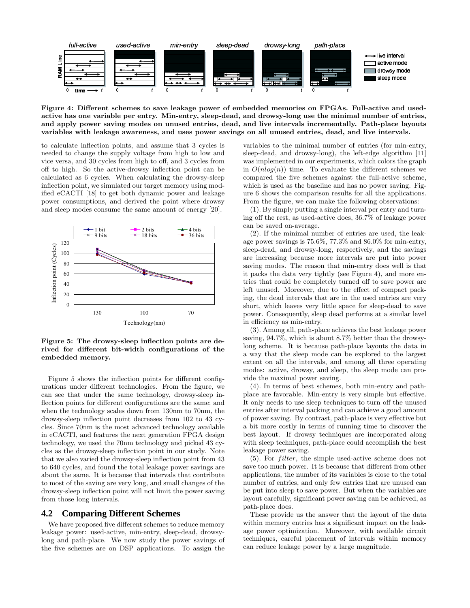

Figure 4: Different schemes to save leakage power of embedded memories on FPGAs. Full-active and usedactive has one variable per entry. Min-entry, sleep-dead, and drowsy-long use the minimal number of entries, and apply power saving modes on unused entries, dead, and live intervals incrementally. Path-place layouts variables with leakage awareness, and uses power savings on all unused entries, dead, and live intervals.

to calculate inflection points, and assume that 3 cycles is needed to change the supply voltage from high to low and vice versa, and 30 cycles from high to off, and 3 cycles from off to high. So the active-drowsy inflection point can be calculated as 6 cycles. When calculating the drowsy-sleep inflection point, we simulated our target memory using modified eCACTI [18] to get both dynamic power and leakage power consumptions, and derived the point where drowsy and sleep modes consume the same amount of energy [20].



Figure 5: The drowsy-sleep inflection points are derived for different bit-width configurations of the embedded memory.

Figure 5 shows the inflection points for different configurations under different technologies. From the figure, we can see that under the same technology, drowsy-sleep inflection points for different configurations are the same; and when the technology scales down from 130nm to 70nm, the drowsy-sleep inflection point decreases from 102 to 43 cycles. Since 70nm is the most advanced technology available in eCACTI, and features the next generation FPGA design technology, we used the 70nm technology and picked 43 cycles as the drowsy-sleep inflection point in our study. Note that we also varied the drowsy-sleep inflection point from 43 to 640 cycles, and found the total leakage power savings are about the same. It is because that intervals that contribute to most of the saving are very long, and small changes of the drowsy-sleep inflection point will not limit the power saving from those long intervals.

#### **4.2 Comparing Different Schemes**

We have proposed five different schemes to reduce memory leakage power: used-active, min-entry, sleep-dead, drowsylong and path-place. We now study the power savings of the five schemes are on DSP applications. To assign the

variables to the minimal number of entries (for min-entry, sleep-dead, and drowsy-long), the left-edge algorithm [11] was implemented in our experiments, which colors the graph in  $O(n \log(n))$  time. To evaluate the different schemes we compared the five schemes against the full-active scheme, which is used as the baseline and has no power saving. Figure 6 shows the comparison results for all the applications. From the figure, we can make the following observations:

(1). By simply putting a single interval per entry and turning off the rest, as used-active does, 36.7% of leakage power can be saved on-average.

(2). If the minimal number of entries are used, the leakage power savings is 75.6%, 77.3% and 86.0% for min-entry, sleep-dead, and drowsy-long, respectively, and the savings are increasing because more intervals are put into power saving modes. The reason that min-entry does well is that it packs the data very tightly (see Figure 4), and more entries that could be completely turned off to save power are left unused. Moreover, due to the effect of compact packing, the dead intervals that are in the used entries are very short, which leaves very little space for sleep-dead to save power. Consequently, sleep dead performs at a similar level in efficiency as min-entry.

(3). Among all, path-place achieves the best leakage power saving, 94.7%, which is about 8.7% better than the drowsylong scheme. It is because path-place layouts the data in a way that the sleep mode can be explored to the largest extent on all the intervals, and among all three operating modes: active, drowsy, and sleep, the sleep mode can provide the maximal power saving.

(4). In terms of best schemes, both min-entry and pathplace are favorable. Min-entry is very simple but effective. It only needs to use sleep techniques to turn off the unused entries after interval packing and can achieve a good amount of power saving. By contrast, path-place is very effective but a bit more costly in terms of running time to discover the best layout. If drowsy techniques are incorporated along with sleep techniques, path-place could accomplish the best leakage power saving.

(5). For filter, the simple used-active scheme does not save too much power. It is because that different from other applications, the number of its variables is close to the total number of entries, and only few entries that are unused can be put into sleep to save power. But when the variables are layout carefully, significant power saving can be achieved, as path-place does.

These provide us the answer that the layout of the data within memory entries has a significant impact on the leakage power optimization. Moreover, with available circuit techniques, careful placement of intervals within memory can reduce leakage power by a large magnitude.